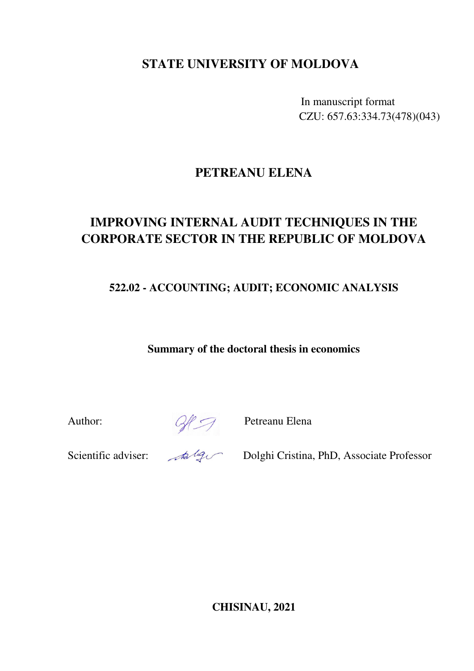## **STATE UNIVERSITY OF MOLDOVA**

In manuscript format CZU: 657.63:334.73(478)(043)

# **PETREANU ELENA**

# **IMPROVING INTERNAL AUDIT TECHNIQUES IN THE CORPORATE SECTOR IN THE REPUBLIC OF MOLDOVA**

**522.02 - ACCOUNTING; AUDIT; ECONOMIC ANALYSIS** 

**Summary of the doctoral thesis in economics** 

Author:  $\mathbb{Q} \mathbb{P}$  Petreanu Elena

Scientific adviser: Alger Dolghi Cristina, PhD, Associate Professor

**CHISINAU, 2021**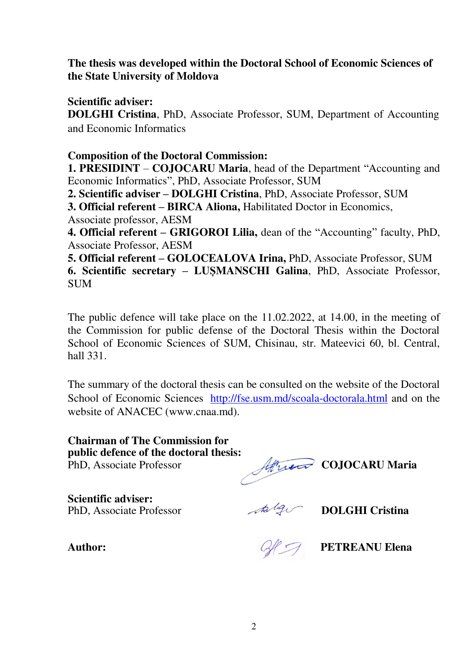### **The thesis was developed within the Doctoral School of Economic Sciences of the State University of Moldova**

**Scientific adviser:** 

**DOLGHI Cristina**, PhD, Associate Professor, SUM, Department of Accounting and Economic Informatics

### **Composition of the Doctoral Commission:**

**1. PRESIDINT** – **COJOCARU Maria**, head of the Department "Accounting and Economic Informatics", PhD, Associate Professor, SUM

**2. Scientific adviser – DOLGHI Cristina**, PhD, Associate Professor, SUM

**3. Official referent – BIRCA Aliona,** Habilitated Doctor in Economics,

Associate professor, AESM

**4. Official referent – GRIGOROI Lilia,** dean of the "Accounting" faculty, PhD, Associate Professor, AESM

**5. Official referent – GOLOCEALOVA Irina,** PhD, Associate Professor, SUM **6. Scientific secretary – LUȘMANSCHI Galina**, PhD, Associate Professor, SUM

The public defence will take place on the 11.02.2022, at 14.00, in the meeting of the Commission for public defense of the Doctoral Thesis within the Doctoral School of Economic Sciences of SUM, Chisinau, str. Mateevici 60, bl. Central, hall 331.

The summary of the doctoral thesis can be consulted on the website of the Doctoral School of Economic Sciences <http://fse.usm.md/scoala-doctorala.html>and on the website of ANACEC (www.cnaa.md).

**Chairman of The Commission for public defence of the doctoral thesis:**  PhD, Associate Professor Africa COJOCARU Maria

**Scientific adviser:**  PhD, Associate Professor **DOLGHI Cristina** 

Author: Author: All *CA* **PETREANU Elena**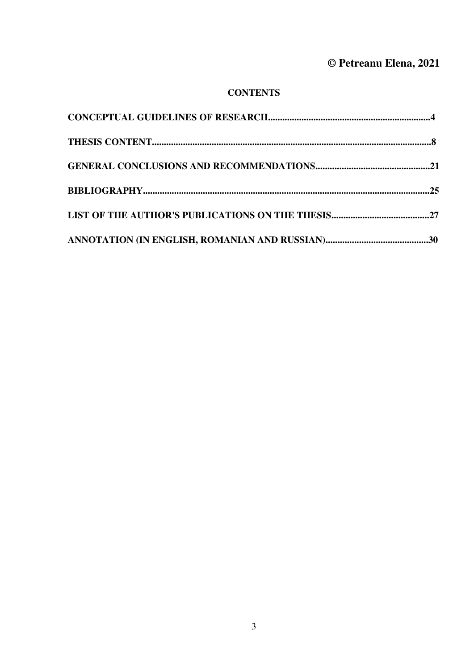# **© Petreanu Elena, 2021**

### **CONTENTS**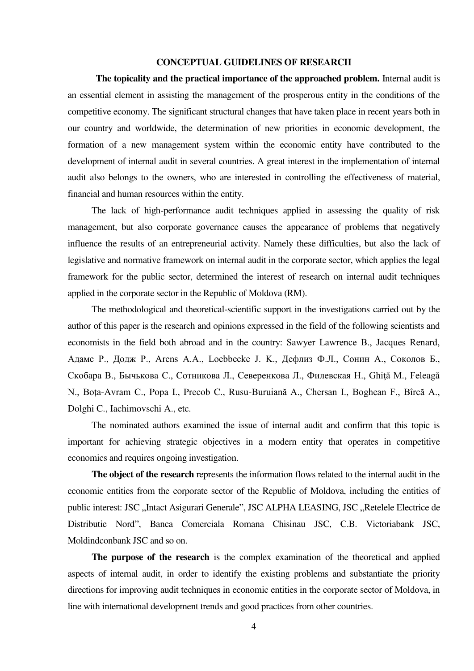#### **CONCEPTUAL GUIDELINES OF RESEARCH**

 **The topicality and the practical importance of the approached problem.** Internal audit is an essential element in assisting the management of the prosperous entity in the conditions of the competitive economy. The significant structural changes that have taken place in recent years both in our country and worldwide, the determination of new priorities in economic development, the formation of a new management system within the economic entity have contributed to the development of internal audit in several countries. A great interest in the implementation of internal audit also belongs to the owners, who are interested in controlling the effectiveness of material, financial and human resources within the entity.

The lack of high-performance audit techniques applied in assessing the quality of risk management, but also corporate governance causes the appearance of problems that negatively influence the results of an entrepreneurial activity. Namely these difficulties, but also the lack of legislative and normative framework on internal audit in the corporate sector, which applies the legal framework for the public sector, determined the interest of research on internal audit techniques applied in the corporate sector in the Republic of Moldova (RM).

The methodological and theoretical-scientific support in the investigations carried out by the author of this paper is the research and opinions expressed in the field of the following scientists and economists in the field both abroad and in the country: Sawуer Lawrence B., Jacques Renard, Aдамс Р., Додж Р., Arens A.A., Loebbecke J. K., Дефлиз Ф.Л., Сонин А., Соколов Б., Скобара В., Бычькова С., Сотникова Л., Северенкова Л., Филевская Н., Ghiţă M., Feleagă N., Boța-Avram C., Popa I., Precob C., Rusu-Buruiană A., Chersan I., Boghean F., Bîrcă A., Dolghi C., Iachimovschi A., etc.

The nominated authors examined the issue of internal audit and confirm that this topic is important for achieving strategic objectives in a modern entity that operates in competitive economics and requires ongoing investigation.

**The object of the research** represents the information flows related to the internal audit in the economic entities from the corporate sector of the Republic of Moldova, including the entities of public interest: JSC "Intact Asigurari Generale", JSC ALPHA LEASING, JSC "Retelele Electrice de Distributie Nord", Banca Comerciala Romana Chisinau JSC, C.B. Victoriabank JSC, Moldindconbank JSC and so on.

**The purpose of the research** is the complex examination of the theoretical and applied aspects of internal audit, in order to identify the existing problems and substantiate the priority directions for improving audit techniques in economic entities in the corporate sector of Moldova, in line with international development trends and good practices from other countries.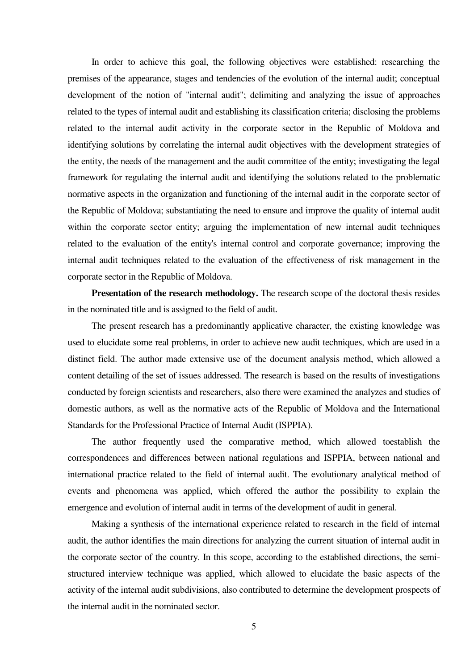In order to achieve this goal, the following objectives were established: researching the premises of the appearance, stages and tendencies of the evolution of the internal audit; conceptual development of the notion of "internal audit"; delimiting and analyzing the issue of approaches related to the types of internal audit and establishing its classification criteria; disclosing the problems related to the internal audit activity in the corporate sector in the Republic of Moldova and identifying solutions by correlating the internal audit objectives with the development strategies of the entity, the needs of the management and the audit committee of the entity; investigating the legal framework for regulating the internal audit and identifying the solutions related to the problematic normative aspects in the organization and functioning of the internal audit in the corporate sector of the Republic of Moldova; substantiating the need to ensure and improve the quality of internal audit within the corporate sector entity; arguing the implementation of new internal audit techniques related to the evaluation of the entity's internal control and corporate governance; improving the internal audit techniques related to the evaluation of the effectiveness of risk management in the corporate sector in the Republic of Moldova.

**Presentation of the research methodology.** The research scope of the doctoral thesis resides in the nominated title and is assigned to the field of audit.

The present research has a predominantly applicative character, the existing knowledge was used to elucidate some real problems, in order to achieve new audit techniques, which are used in a distinct field. The author made extensive use of the document analysis method, which allowed a content detailing of the set of issues addressed. The research is based on the results of investigations conducted by foreign scientists and researchers, also there were examined the analyzes and studies of domestic authors, as well as the normative acts of the Republic of Moldova and the International Standards for the Professional Practice of Internal Audit (ISPPIA).

The author frequently used the comparative method, which allowed toestablish the correspondences and differences between national regulations and ISPPIA, between national and international practice related to the field of internal audit. The evolutionary analytical method of events and phenomena was applied, which offered the author the possibility to explain the emergence and evolution of internal audit in terms of the development of audit in general.

Making a synthesis of the international experience related to research in the field of internal audit, the author identifies the main directions for analyzing the current situation of internal audit in the corporate sector of the country. In this scope, according to the established directions, the semistructured interview technique was applied, which allowed to elucidate the basic aspects of the activity of the internal audit subdivisions, also contributed to determine the development prospects of the internal audit in the nominated sector.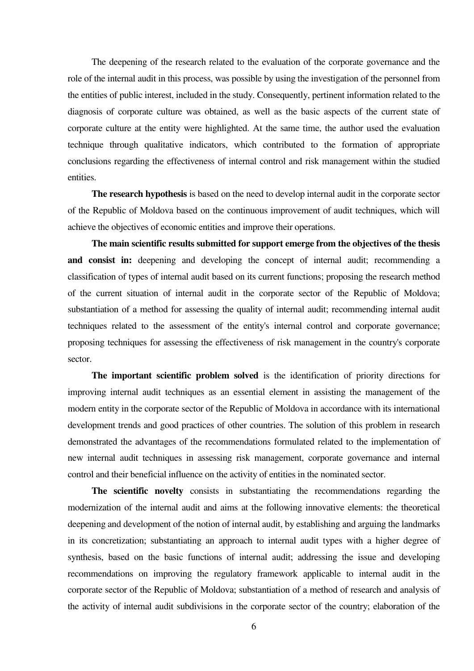The deepening of the research related to the evaluation of the corporate governance and the role of the internal audit in this process, was possible by using the investigation of the personnel from the entities of public interest, included in the study. Consequently, pertinent information related to the diagnosis of corporate culture was obtained, as well as the basic aspects of the current state of corporate culture at the entity were highlighted. At the same time, the author used the evaluation technique through qualitative indicators, which contributed to the formation of appropriate conclusions regarding the effectiveness of internal control and risk management within the studied entities.

**The research hypothesis** is based on the need to develop internal audit in the corporate sector of the Republic of Moldova based on the continuous improvement of audit techniques, which will achieve the objectives of economic entities and improve their operations.

**The main scientific results submitted for support emerge from the objectives of the thesis**  and consist in: deepening and developing the concept of internal audit; recommending a classification of types of internal audit based on its current functions; proposing the research method of the current situation of internal audit in the corporate sector of the Republic of Moldova; substantiation of a method for assessing the quality of internal audit; recommending internal audit techniques related to the assessment of the entity's internal control and corporate governance; proposing techniques for assessing the effectiveness of risk management in the country's corporate sector.

**The important scientific problem solved** is the identification of priority directions for improving internal audit techniques as an essential element in assisting the management of the modern entity in the corporate sector of the Republic of Moldova in accordance with its international development trends and good practices of other countries. The solution of this problem in research demonstrated the advantages of the recommendations formulated related to the implementation of new internal audit techniques in assessing risk management, corporate governance and internal control and their beneficial influence on the activity of entities in the nominated sector.

**The scientific novelty** consists in substantiating the recommendations regarding the modernization of the internal audit and aims at the following innovative elements: the theoretical deepening and development of the notion of internal audit, by establishing and arguing the landmarks in its concretization; substantiating an approach to internal audit types with a higher degree of synthesis, based on the basic functions of internal audit; addressing the issue and developing recommendations on improving the regulatory framework applicable to internal audit in the corporate sector of the Republic of Moldova; substantiation of a method of research and analysis of the activity of internal audit subdivisions in the corporate sector of the country; elaboration of the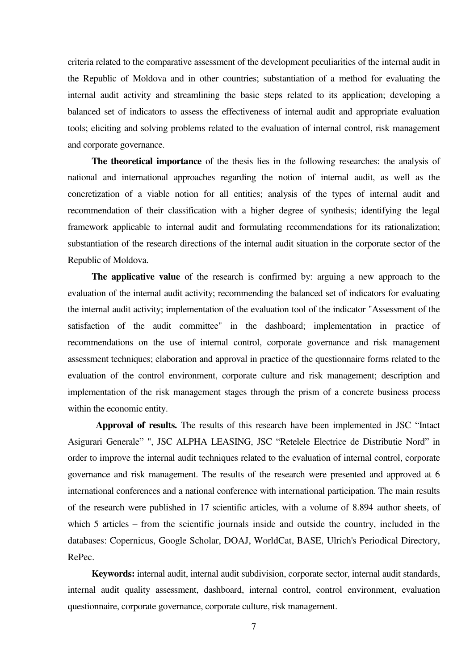criteria related to the comparative assessment of the development peculiarities of the internal audit in the Republic of Moldova and in other countries; substantiation of a method for evaluating the internal audit activity and streamlining the basic steps related to its application; developing a balanced set of indicators to assess the effectiveness of internal audit and appropriate evaluation tools; eliciting and solving problems related to the evaluation of internal control, risk management and corporate governance.

**The theoretical importance** of the thesis lies in the following researches: the analysis of national and international approaches regarding the notion of internal audit, as well as the concretization of a viable notion for all entities; analysis of the types of internal audit and recommendation of their classification with a higher degree of synthesis; identifying the legal framework applicable to internal audit and formulating recommendations for its rationalization; substantiation of the research directions of the internal audit situation in the corporate sector of the Republic of Moldova.

**The applicative value** of the research is confirmed by: arguing a new approach to the evaluation of the internal audit activity; recommending the balanced set of indicators for evaluating the internal audit activity; implementation of the evaluation tool of the indicator "Assessment of the satisfaction of the audit committee" in the dashboard; implementation in practice of recommendations on the use of internal control, corporate governance and risk management assessment techniques; elaboration and approval in practice of the questionnaire forms related to the evaluation of the control environment, corporate culture and risk management; description and implementation of the risk management stages through the prism of a concrete business process within the economic entity.

 **Approval of results.** The results of this research have been implemented in JSC "Intact Asigurari Generale" ", JSC ALPHA LEASING, JSC "Retelele Electrice de Distributie Nord" in order to improve the internal audit techniques related to the evaluation of internal control, corporate governance and risk management. The results of the research were presented and approved at 6 international conferences and a national conference with international participation. The main results of the research were published in 17 scientific articles, with a volume of 8.894 author sheets, of which 5 articles – from the scientific journals inside and outside the country, included in the databases: Copernicus, Google Scholar, DOAJ, WorldCat, BASE, Ulrich's Periodical Directory, RePec.

**Keywords:** internal audit, internal audit subdivision, corporate sector, internal audit standards, internal audit quality assessment, dashboard, internal control, control environment, evaluation questionnaire, corporate governance, corporate culture, risk management.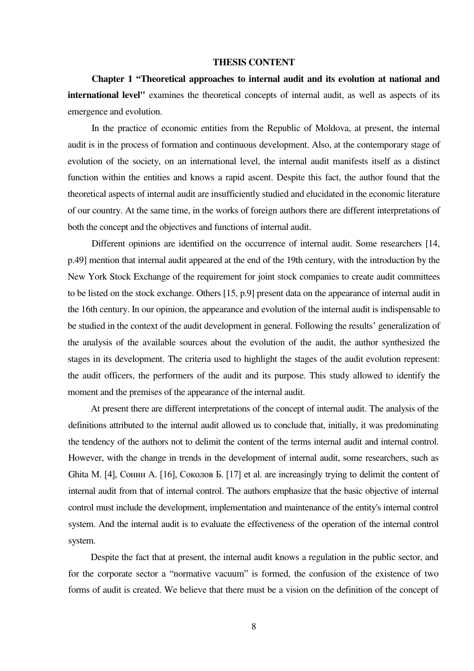#### **THESIS CONTENT**

**Chapter 1 "Theoretical approaches to internal audit and its evolution at national and international level"** examines the theoretical concepts of internal audit, as well as aspects of its emergence and evolution.

In the practice of economic entities from the Republic of Moldova, at present, the internal audit is in the process of formation and continuous development. Also, at the contemporary stage of evolution of the society, on an international level, the internal audit manifests itself as a distinct function within the entities and knows a rapid ascent. Despite this fact, the author found that the theoretical aspects of internal audit are insufficiently studied and elucidated in the economic literature of our country. At the same time, in the works of foreign authors there are different interpretations of both the concept and the objectives and functions of internal audit.

Different opinions are identified on the occurrence of internal audit. Some researchers [14, p.49] mention that internal audit appeared at the end of the 19th century, with the introduction by the New York Stock Exchange of the requirement for joint stock companies to create audit committees to be listed on the stock exchange. Others [15, p.9] present data on the appearance of internal audit in the 16th century. In our opinion, the appearance and evolution of the internal audit is indispensable to be studied in the context of the audit development in general. Following the results' generalization of the analysis of the available sources about the evolution of the audit, the author synthesized the stages in its development. The criteria used to highlight the stages of the audit evolution represent: the audit officers, the performers of the audit and its purpose. This study allowed to identify the moment and the premises of the appearance of the internal audit.

At present there are different interpretations of the concept of internal audit. The analysis of the definitions attributed to the internal audit allowed us to conclude that, initially, it was predominating the tendency of the authors not to delimit the content of the terms internal audit and internal control. However, with the change in trends in the development of internal audit, some researchers, such as Ghita M. [4], Сонин A. [16], Соколов Б. [17] et al. are increasingly trying to delimit the content of internal audit from that of internal control. The authors emphasize that the basic objective of internal control must include the development, implementation and maintenance of the entity's internal control system. And the internal audit is to evaluate the effectiveness of the operation of the internal control system.

Despite the fact that at present, the internal audit knows a regulation in the public sector, and for the corporate sector a "normative vacuum" is formed, the confusion of the existence of two forms of audit is created. We believe that there must be a vision on the definition of the concept of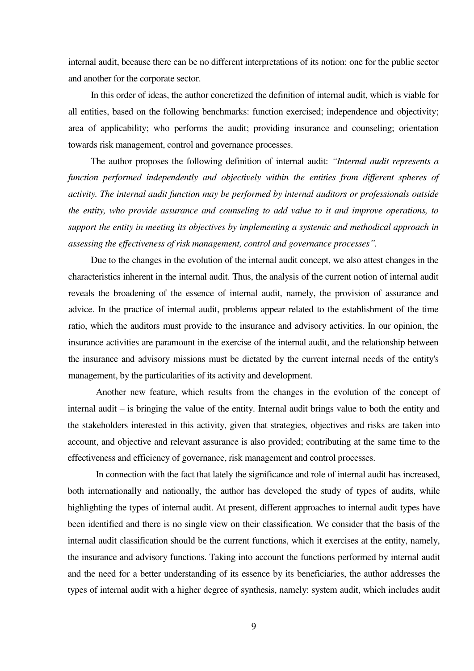internal audit, because there can be no different interpretations of its notion: one for the public sector and another for the corporate sector.

In this order of ideas, the author concretized the definition of internal audit, which is viable for all entities, based on the following benchmarks: function exercised; independence and objectivity; area of applicability; who performs the audit; providing insurance and counseling; orientation towards risk management, control and governance processes.

The author proposes the following definition of internal audit: *"Internal audit represents a function performed independently and objectively within the entities from different spheres of activity. The internal audit function may be performed by internal auditors or professionals outside the entity, who provide assurance and counseling to add value to it and improve operations, to support the entity in meeting its objectives by implementing a systemic and methodical approach in assessing the effectiveness of risk management, control and governance processes".*

Due to the changes in the evolution of the internal audit concept, we also attest changes in the characteristics inherent in the internal audit. Thus, the analysis of the current notion of internal audit reveals the broadening of the essence of internal audit, namely, the provision of assurance and advice. In the practice of internal audit, problems appear related to the establishment of the time ratio, which the auditors must provide to the insurance and advisory activities. In our opinion, the insurance activities are paramount in the exercise of the internal audit, and the relationship between the insurance and advisory missions must be dictated by the current internal needs of the entity's management, by the particularities of its activity and development.

Another new feature, which results from the changes in the evolution of the concept of internal audit – is bringing the value of the entity. Internal audit brings value to both the entity and the stakeholders interested in this activity, given that strategies, objectives and risks are taken into account, and objective and relevant assurance is also provided; contributing at the same time to the effectiveness and efficiency of governance, risk management and control processes.

In connection with the fact that lately the significance and role of internal audit has increased, both internationally and nationally, the author has developed the study of types of audits, while highlighting the types of internal audit. At present, different approaches to internal audit types have been identified and there is no single view on their classification. We consider that the basis of the internal audit classification should be the current functions, which it exercises at the entity, namely, the insurance and advisory functions. Taking into account the functions performed by internal audit and the need for a better understanding of its essence by its beneficiaries, the author addresses the types of internal audit with a higher degree of synthesis, namely: system audit, which includes audit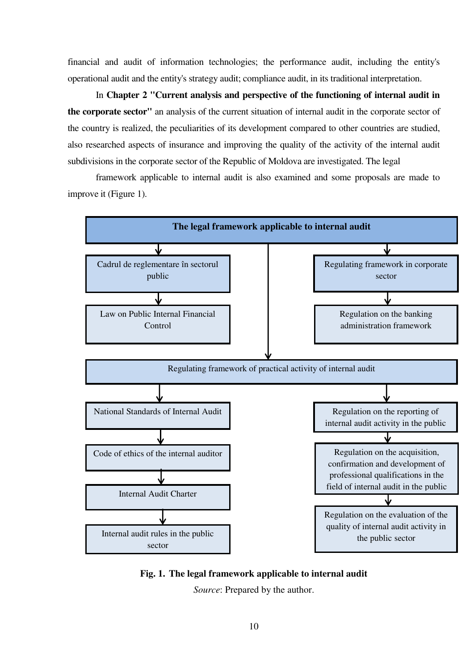financial and audit of information technologies; the performance audit, including the entity's operational audit and the entity's strategy audit; compliance audit, in its traditional interpretation.

In **Chapter 2 "Current analysis and perspective of the functioning of internal audit in the corporate sector"** an analysis of the current situation of internal audit in the corporate sector of the country is realized, the peculiarities of its development compared to other countries are studied, also researched aspects of insurance and improving the quality of the activity of the internal audit subdivisions in the corporate sector of the Republic of Moldova are investigated. The legal

framework applicable to internal audit is also examined and some proposals are made to improve it (Figure 1).



**Fig. 1. The legal framework applicable to internal audit** 

*Source*: Prepared by the author.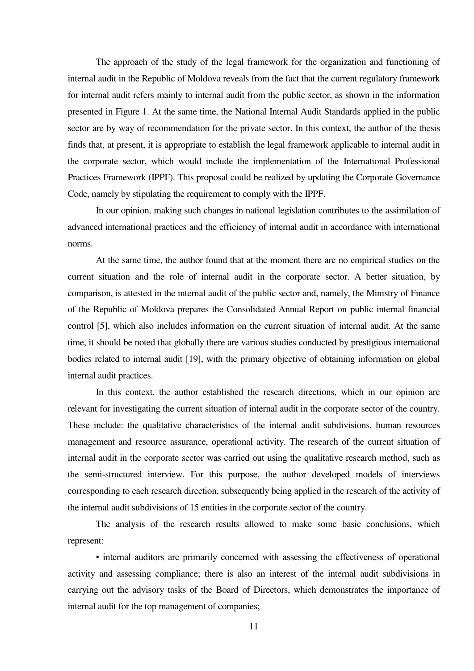The approach of the study of the legal framework for the organization and functioning of internal audit in the Republic of Moldova reveals from the fact that the current regulatory framework for internal audit refers mainly to internal audit from the public sector, as shown in the information presented in Figure 1. At the same time, the National Internal Audit Standards applied in the public sector are by way of recommendation for the private sector. In this context, the author of the thesis finds that, at present, it is appropriate to establish the legal framework applicable to internal audit in the corporate sector, which would include the implementation of the International Professional Practices Framework (IPPF). This proposal could be realized by updating the Corporate Governance Code, namely by stipulating the requirement to comply with the IPPF.

In our opinion, making such changes in national legislation contributes to the assimilation of advanced international practices and the efficiency of internal audit in accordance with international norms.

At the same time, the author found that at the moment there are no empirical studies on the current situation and the role of internal audit in the corporate sector. A better situation, by comparison, is attested in the internal audit of the public sector and, namely, the Ministry of Finance of the Republic of Moldova prepares the Consolidated Annual Report on public internal financial control [5], which also includes information on the current situation of internal audit. At the same time, it should be noted that globally there are various studies conducted by prestigious international bodies related to internal audit [19], with the primary objective of obtaining information on global internal audit practices.

In this context, the author established the research directions, which in our opinion are relevant for investigating the current situation of internal audit in the corporate sector of the country. These include: the qualitative characteristics of the internal audit subdivisions, human resources management and resource assurance, operational activity. The research of the current situation of internal audit in the corporate sector was carried out using the qualitative research method, such as the semi-structured interview. For this purpose, the author developed models of interviews corresponding to each research direction, subsequently being applied in the research of the activity of the internal audit subdivisions of 15 entities in the corporate sector of the country.

The analysis of the research results allowed to make some basic conclusions, which represent:

• internal auditors are primarily concerned with assessing the effectiveness of operational activity and assessing compliance; there is also an interest of the internal audit subdivisions in carrying out the advisory tasks of the Board of Directors, which demonstrates the importance of internal audit for the top management of companies;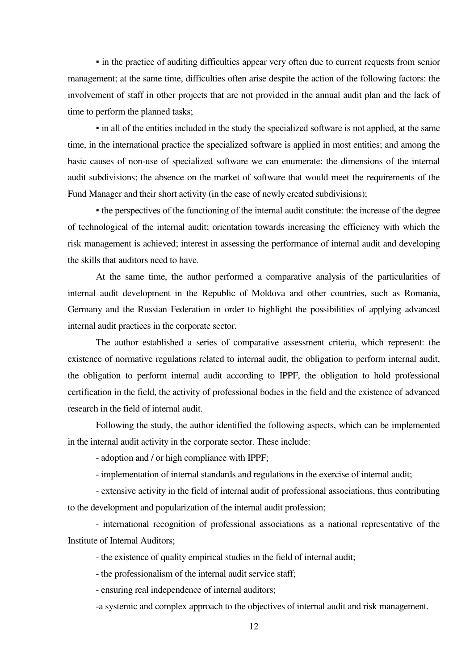• in the practice of auditing difficulties appear very often due to current requests from senior management; at the same time, difficulties often arise despite the action of the following factors: the involvement of staff in other projects that are not provided in the annual audit plan and the lack of time to perform the planned tasks;

• in all of the entities included in the study the specialized software is not applied, at the same time, in the international practice the specialized software is applied in most entities; and among the basic causes of non-use of specialized software we can enumerate: the dimensions of the internal audit subdivisions; the absence on the market of software that would meet the requirements of the Fund Manager and their short activity (in the case of newly created subdivisions);

• the perspectives of the functioning of the internal audit constitute: the increase of the degree of technological of the internal audit; orientation towards increasing the efficiency with which the risk management is achieved; interest in assessing the performance of internal audit and developing the skills that auditors need to have.

At the same time, the author performed a comparative analysis of the particularities of internal audit development in the Republic of Moldova and other countries, such as Romania, Germany and the Russian Federation in order to highlight the possibilities of applying advanced internal audit practices in the corporate sector.

The author established a series of comparative assessment criteria, which represent: the existence of normative regulations related to internal audit, the obligation to perform internal audit, the obligation to perform internal audit according to IPPF, the obligation to hold professional certification in the field, the activity of professional bodies in the field and the existence of advanced research in the field of internal audit.

Following the study, the author identified the following aspects, which can be implemented in the internal audit activity in the corporate sector. These include:

- adoption and / or high compliance with IPPF;

- implementation of internal standards and regulations in the exercise of internal audit;

- extensive activity in the field of internal audit of professional associations, thus contributing to the development and popularization of the internal audit profession;

- international recognition of professional associations as a national representative of the Institute of Internal Auditors;

- the existence of quality empirical studies in the field of internal audit;

- the professionalism of the internal audit service staff;

- ensuring real independence of internal auditors;

-a systemic and complex approach to the objectives of internal audit and risk management.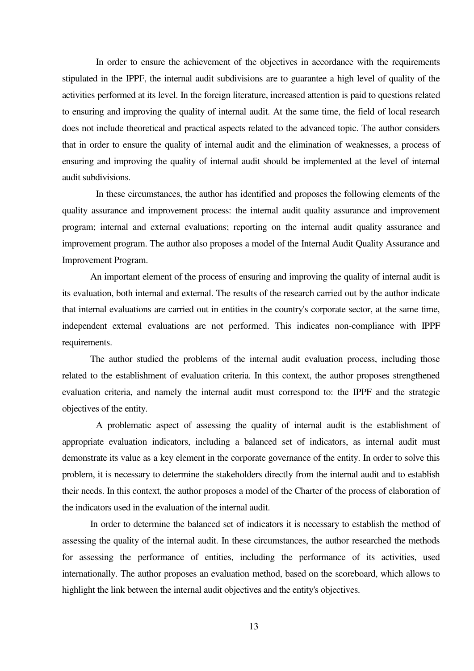In order to ensure the achievement of the objectives in accordance with the requirements stipulated in the IPPF, the internal audit subdivisions are to guarantee a high level of quality of the activities performed at its level. In the foreign literature, increased attention is paid to questions related to ensuring and improving the quality of internal audit. At the same time, the field of local research does not include theoretical and practical aspects related to the advanced topic. The author considers that in order to ensure the quality of internal audit and the elimination of weaknesses, a process of ensuring and improving the quality of internal audit should be implemented at the level of internal audit subdivisions.

 In these circumstances, the author has identified and proposes the following elements of the quality assurance and improvement process: the internal audit quality assurance and improvement program; internal and external evaluations; reporting on the internal audit quality assurance and improvement program. The author also proposes a model of the Internal Audit Quality Assurance and Improvement Program.

An important element of the process of ensuring and improving the quality of internal audit is its evaluation, both internal and external. The results of the research carried out by the author indicate that internal evaluations are carried out in entities in the country's corporate sector, at the same time, independent external evaluations are not performed. This indicates non-compliance with IPPF requirements.

The author studied the problems of the internal audit evaluation process, including those related to the establishment of evaluation criteria. In this context, the author proposes strengthened evaluation criteria, and namely the internal audit must correspond to: the IPPF and the strategic objectives of the entity.

 A problematic aspect of assessing the quality of internal audit is the establishment of appropriate evaluation indicators, including a balanced set of indicators, as internal audit must demonstrate its value as a key element in the corporate governance of the entity. In order to solve this problem, it is necessary to determine the stakeholders directly from the internal audit and to establish their needs. In this context, the author proposes a model of the Charter of the process of elaboration of the indicators used in the evaluation of the internal audit.

In order to determine the balanced set of indicators it is necessary to establish the method of assessing the quality of the internal audit. In these circumstances, the author researched the methods for assessing the performance of entities, including the performance of its activities, used internationally. The author proposes an evaluation method, based on the scoreboard, which allows to highlight the link between the internal audit objectives and the entity's objectives.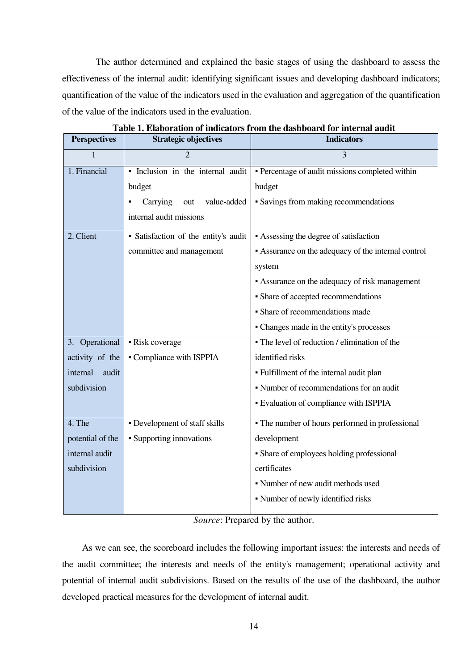The author determined and explained the basic stages of using the dashboard to assess the effectiveness of the internal audit: identifying significant issues and developing dashboard indicators; quantification of the value of the indicators used in the evaluation and aggregation of the quantification of the value of the indicators used in the evaluation.

| <b>Perspectives</b> | <b>Strategic objectives</b>          | <b>Indicators</b>                                   |
|---------------------|--------------------------------------|-----------------------------------------------------|
| 1                   |                                      | 3                                                   |
| 1. Financial        | · Inclusion in the internal audit    | - Percentage of audit missions completed within     |
|                     | budget                               | budget                                              |
|                     | Carrying<br>value-added<br>out       | • Savings from making recommendations               |
|                     | internal audit missions              |                                                     |
| 2. Client           | · Satisfaction of the entity's audit | • Assessing the degree of satisfaction              |
|                     | committee and management             | • Assurance on the adequacy of the internal control |
|                     |                                      | system                                              |
|                     |                                      | • Assurance on the adequacy of risk management      |
|                     |                                      | • Share of accepted recommendations                 |
|                     |                                      | · Share of recommendations made                     |
|                     |                                      | - Changes made in the entity's processes            |
| 3. Operational      | • Risk coverage                      | • The level of reduction / elimination of the       |
| activity of the     | • Compliance with ISPPIA             | identified risks                                    |
| internal<br>audit   |                                      | - Fulfillment of the internal audit plan            |
| subdivision         |                                      | • Number of recommendations for an audit            |
|                     |                                      | - Evaluation of compliance with ISPPIA              |
| 4. The              | • Development of staff skills        | • The number of hours performed in professional     |
| potential of the    | • Supporting innovations             | development                                         |
| internal audit      |                                      | • Share of employees holding professional           |
| subdivision         |                                      | certificates                                        |
|                     |                                      | • Number of new audit methods used                  |
|                     |                                      | • Number of newly identified risks                  |
|                     |                                      |                                                     |

**Table 1. Elaboration of indicators from the dashboard for internal audit** 

*Source*: Prepared by the author.

As we can see, the scoreboard includes the following important issues: the interests and needs of the audit committee; the interests and needs of the entity's management; operational activity and potential of internal audit subdivisions. Based on the results of the use of the dashboard, the author developed practical measures for the development of internal audit.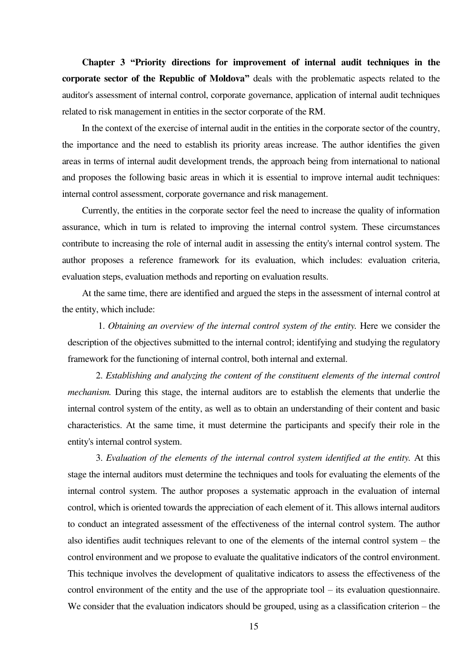**Chapter 3 "Priority directions for improvement of internal audit techniques in the corporate sector of the Republic of Moldova"** deals with the problematic aspects related to the auditor's assessment of internal control, corporate governance, application of internal audit techniques related to risk management in entities in the sector corporate of the RM.

In the context of the exercise of internal audit in the entities in the corporate sector of the country, the importance and the need to establish its priority areas increase. The author identifies the given areas in terms of internal audit development trends, the approach being from international to national and proposes the following basic areas in which it is essential to improve internal audit techniques: internal control assessment, corporate governance and risk management.

Currently, the entities in the corporate sector feel the need to increase the quality of information assurance, which in turn is related to improving the internal control system. These circumstances contribute to increasing the role of internal audit in assessing the entity's internal control system. The author proposes a reference framework for its evaluation, which includes: evaluation criteria, evaluation steps, evaluation methods and reporting on evaluation results.

At the same time, there are identified and argued the steps in the assessment of internal control at the entity, which include:

1. *Obtaining an overview of the internal control system of the entity.* Here we consider the description of the objectives submitted to the internal control; identifying and studying the regulatory framework for the functioning of internal control, both internal and external.

2. *Establishing and analyzing the content of the constituent elements of the internal control mechanism.* During this stage, the internal auditors are to establish the elements that underlie the internal control system of the entity, as well as to obtain an understanding of their content and basic characteristics. At the same time, it must determine the participants and specify their role in the entity's internal control system.

3. *Evaluation of the elements of the internal control system identified at the entity.* At this stage the internal auditors must determine the techniques and tools for evaluating the elements of the internal control system. The author proposes a systematic approach in the evaluation of internal control, which is oriented towards the appreciation of each element of it. This allows internal auditors to conduct an integrated assessment of the effectiveness of the internal control system. The author also identifies audit techniques relevant to one of the elements of the internal control system – the control environment and we propose to evaluate the qualitative indicators of the control environment. This technique involves the development of qualitative indicators to assess the effectiveness of the control environment of the entity and the use of the appropriate tool – its evaluation questionnaire. We consider that the evaluation indicators should be grouped, using as a classification criterion – the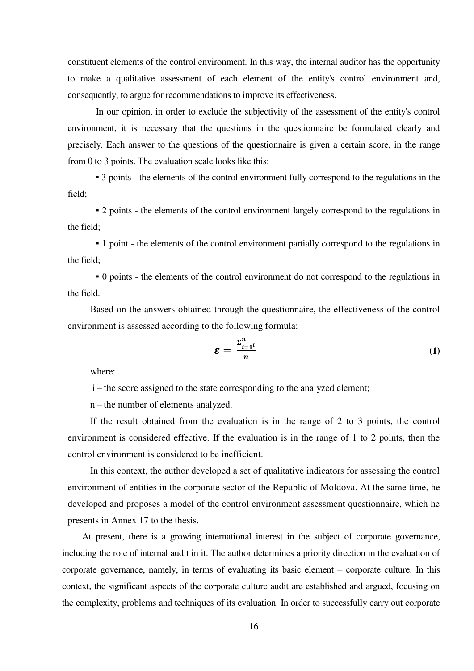constituent elements of the control environment. In this way, the internal auditor has the opportunity to make a qualitative assessment of each element of the entity's control environment and, consequently, to argue for recommendations to improve its effectiveness.

 In our opinion, in order to exclude the subjectivity of the assessment of the entity's control environment, it is necessary that the questions in the questionnaire be formulated clearly and precisely. Each answer to the questions of the questionnaire is given a certain score, in the range from 0 to 3 points. The evaluation scale looks like this:

▪ 3 points - the elements of the control environment fully correspond to the regulations in the field;

▪ 2 points - the elements of the control environment largely correspond to the regulations in the field;

▪ 1 point - the elements of the control environment partially correspond to the regulations in the field;

▪ 0 points - the elements of the control environment do not correspond to the regulations in the field.

Based on the answers obtained through the questionnaire, the effectiveness of the control environment is assessed according to the following formula:

$$
\mathcal{E} = \frac{\Sigma_{i=1}^n i}{n} \tag{1}
$$

where:

i – the score assigned to the state corresponding to the analyzed element;

n – the number of elements analyzed.

If the result obtained from the evaluation is in the range of 2 to 3 points, the control environment is considered effective. If the evaluation is in the range of 1 to 2 points, then the control environment is considered to be inefficient.

In this context, the author developed a set of qualitative indicators for assessing the control environment of entities in the corporate sector of the Republic of Moldova. At the same time, he developed and proposes a model of the control environment assessment questionnaire, which he presents in Annex 17 to the thesis.

At present, there is a growing international interest in the subject of corporate governance, including the role of internal audit in it. The author determines a priority direction in the evaluation of corporate governance, namely, in terms of evaluating its basic element – corporate culture. In this context, the significant aspects of the corporate culture audit are established and argued, focusing on the complexity, problems and techniques of its evaluation. In order to successfully carry out corporate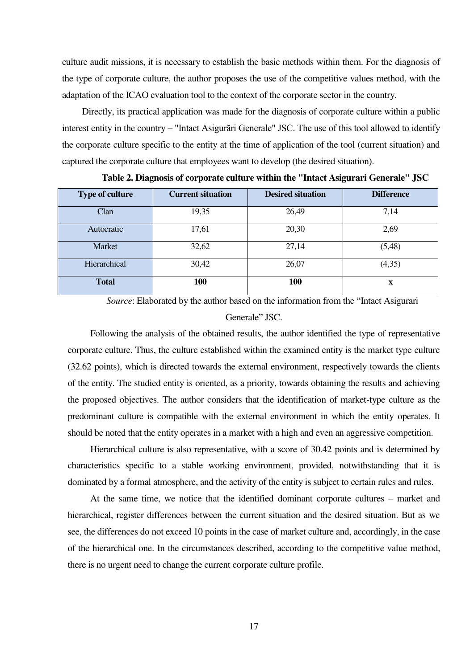culture audit missions, it is necessary to establish the basic methods within them. For the diagnosis of the type of corporate culture, the author proposes the use of the competitive values method, with the adaptation of the ICAO evaluation tool to the context of the corporate sector in the country.

Directly, its practical application was made for the diagnosis of corporate culture within a public interest entity in the country – "Intact Asigurări Generale" JSC. The use of this tool allowed to identify the corporate culture specific to the entity at the time of application of the tool (current situation) and captured the corporate culture that employees want to develop (the desired situation).

| <b>Type of culture</b> | <b>Current situation</b> | <b>Desired situation</b> | <b>Difference</b> |
|------------------------|--------------------------|--------------------------|-------------------|
| Clan                   | 19,35                    | 26,49                    | 7,14              |
| Autocratic             | 17,61                    | 20,30                    | 2,69              |
| Market                 | 32,62                    | 27,14                    | (5,48)            |
| Hierarchical           | 30,42                    | 26,07                    | (4,35)            |
| <b>Total</b>           | 100                      | 100                      | X                 |

**Table 2. Diagnosis of corporate culture within the "Intact Asigurari Generale" JSC**

*Source*: Elaborated by the author based on the information from the "Intact Asigurari Generale" JSC.

Following the analysis of the obtained results, the author identified the type of representative corporate culture. Thus, the culture established within the examined entity is the market type culture (32.62 points), which is directed towards the external environment, respectively towards the clients of the entity. The studied entity is oriented, as a priority, towards obtaining the results and achieving the proposed objectives. The author considers that the identification of market-type culture as the predominant culture is compatible with the external environment in which the entity operates. It should be noted that the entity operates in a market with a high and even an aggressive competition.

Hierarchical culture is also representative, with a score of 30.42 points and is determined by characteristics specific to a stable working environment, provided, notwithstanding that it is dominated by a formal atmosphere, and the activity of the entity is subject to certain rules and rules.

At the same time, we notice that the identified dominant corporate cultures – market and hierarchical, register differences between the current situation and the desired situation. But as we see, the differences do not exceed 10 points in the case of market culture and, accordingly, in the case of the hierarchical one. In the circumstances described, according to the competitive value method, there is no urgent need to change the current corporate culture profile.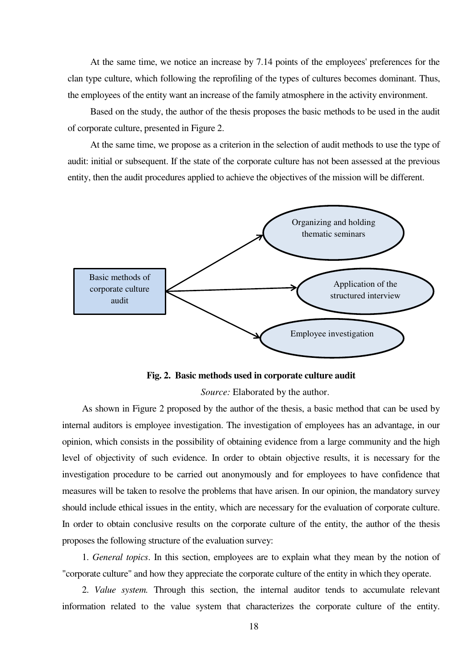At the same time, we notice an increase by 7.14 points of the employees' preferences for the clan type culture, which following the reprofiling of the types of cultures becomes dominant. Thus, the employees of the entity want an increase of the family atmosphere in the activity environment.

Based on the study, the author of the thesis proposes the basic methods to be used in the audit of corporate culture, presented in Figure 2.

At the same time, we propose as a criterion in the selection of audit methods to use the type of audit: initial or subsequent. If the state of the corporate culture has not been assessed at the previous entity, then the audit procedures applied to achieve the objectives of the mission will be different.





*Source:* Elaborated by the author.

As shown in Figure 2 proposed by the author of the thesis, a basic method that can be used by internal auditors is employee investigation. The investigation of employees has an advantage, in our opinion, which consists in the possibility of obtaining evidence from a large community and the high level of objectivity of such evidence. In order to obtain objective results, it is necessary for the investigation procedure to be carried out anonymously and for employees to have confidence that measures will be taken to resolve the problems that have arisen. In our opinion, the mandatory survey should include ethical issues in the entity, which are necessary for the evaluation of corporate culture. In order to obtain conclusive results on the corporate culture of the entity, the author of the thesis proposes the following structure of the evaluation survey:

1. *General topics*. In this section, employees are to explain what they mean by the notion of "corporate culture" and how they appreciate the corporate culture of the entity in which they operate.

2. *Value system.* Through this section, the internal auditor tends to accumulate relevant information related to the value system that characterizes the corporate culture of the entity.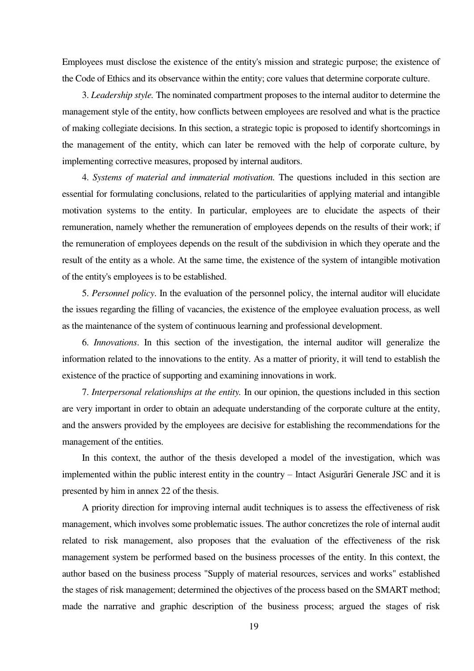Employees must disclose the existence of the entity's mission and strategic purpose; the existence of the Code of Ethics and its observance within the entity; core values that determine corporate culture.

3. *Leadership style.* The nominated compartment proposes to the internal auditor to determine the management style of the entity, how conflicts between employees are resolved and what is the practice of making collegiate decisions. In this section, a strategic topic is proposed to identify shortcomings in the management of the entity, which can later be removed with the help of corporate culture, by implementing corrective measures, proposed by internal auditors.

4. *Systems of material and immaterial motivation.* The questions included in this section are essential for formulating conclusions, related to the particularities of applying material and intangible motivation systems to the entity. In particular, employees are to elucidate the aspects of their remuneration, namely whether the remuneration of employees depends on the results of their work; if the remuneration of employees depends on the result of the subdivision in which they operate and the result of the entity as a whole. At the same time, the existence of the system of intangible motivation of the entity's employees is to be established.

5. *Personnel policy*. In the evaluation of the personnel policy, the internal auditor will elucidate the issues regarding the filling of vacancies, the existence of the employee evaluation process, as well as the maintenance of the system of continuous learning and professional development.

6. *Innovations*. In this section of the investigation, the internal auditor will generalize the information related to the innovations to the entity. As a matter of priority, it will tend to establish the existence of the practice of supporting and examining innovations in work.

7. *Interpersonal relationships at the entity.* In our opinion, the questions included in this section are very important in order to obtain an adequate understanding of the corporate culture at the entity, and the answers provided by the employees are decisive for establishing the recommendations for the management of the entities.

In this context, the author of the thesis developed a model of the investigation, which was implemented within the public interest entity in the country – Intact Asigurări Generale JSC and it is presented by him in annex 22 of the thesis.

A priority direction for improving internal audit techniques is to assess the effectiveness of risk management, which involves some problematic issues. The author concretizes the role of internal audit related to risk management, also proposes that the evaluation of the effectiveness of the risk management system be performed based on the business processes of the entity. In this context, the author based on the business process "Supply of material resources, services and works" established the stages of risk management; determined the objectives of the process based on the SMART method; made the narrative and graphic description of the business process; argued the stages of risk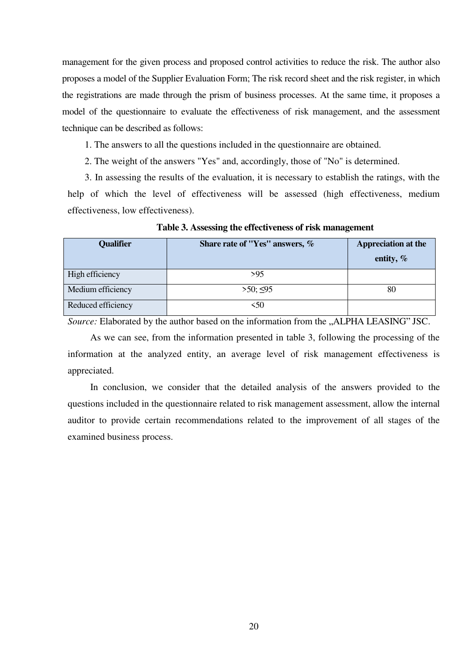management for the given process and proposed control activities to reduce the risk. The author also proposes a model of the Supplier Evaluation Form; The risk record sheet and the risk register, in which the registrations are made through the prism of business processes. At the same time, it proposes a model of the questionnaire to evaluate the effectiveness of risk management, and the assessment technique can be described as follows:

1. The answers to all the questions included in the questionnaire are obtained.

2. The weight of the answers "Yes" and, accordingly, those of "No" is determined.

3. In assessing the results of the evaluation, it is necessary to establish the ratings, with the help of which the level of effectiveness will be assessed (high effectiveness, medium effectiveness, low effectiveness).

| <b>Qualifier</b>   | Share rate of "Yes" answers, % | <b>Appreciation at the</b> |
|--------------------|--------------------------------|----------------------------|
|                    |                                | entity, $\%$               |
| High efficiency    | >95                            |                            |
| Medium efficiency  | $>50$ ; $\leq 95$              | 80                         |
| Reduced efficiency | <50                            |                            |

**Table 3. Assessing the effectiveness of risk management**

*Source:* Elaborated by the author based on the information from the "ALPHA LEASING" JSC.

As we can see, from the information presented in table 3, following the processing of the information at the analyzed entity, an average level of risk management effectiveness is appreciated.

In conclusion, we consider that the detailed analysis of the answers provided to the questions included in the questionnaire related to risk management assessment, allow the internal auditor to provide certain recommendations related to the improvement of all stages of the examined business process.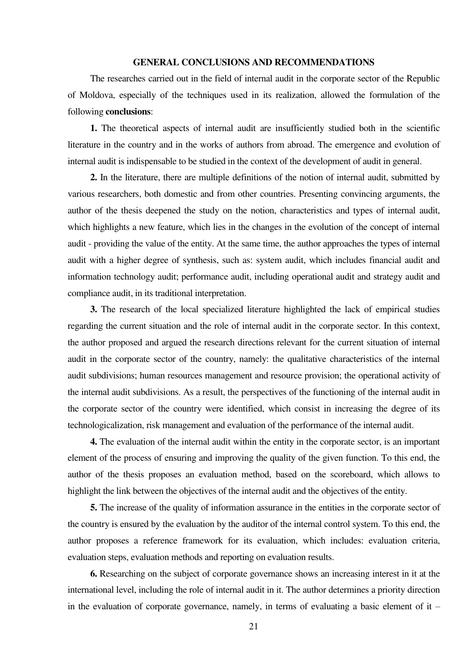### **GENERAL CONCLUSIONS AND RECOMMENDATIONS**

The researches carried out in the field of internal audit in the corporate sector of the Republic of Moldova, especially of the techniques used in its realization, allowed the formulation of the following **conclusions**:

**1.** The theoretical aspects of internal audit are insufficiently studied both in the scientific literature in the country and in the works of authors from abroad. The emergence and evolution of internal audit is indispensable to be studied in the context of the development of audit in general.

**2.** In the literature, there are multiple definitions of the notion of internal audit, submitted by various researchers, both domestic and from other countries. Presenting convincing arguments, the author of the thesis deepened the study on the notion, characteristics and types of internal audit, which highlights a new feature, which lies in the changes in the evolution of the concept of internal audit - providing the value of the entity. At the same time, the author approaches the types of internal audit with a higher degree of synthesis, such as: system audit, which includes financial audit and information technology audit; performance audit, including operational audit and strategy audit and compliance audit, in its traditional interpretation.

**3.** The research of the local specialized literature highlighted the lack of empirical studies regarding the current situation and the role of internal audit in the corporate sector. In this context, the author proposed and argued the research directions relevant for the current situation of internal audit in the corporate sector of the country, namely: the qualitative characteristics of the internal audit subdivisions; human resources management and resource provision; the operational activity of the internal audit subdivisions. As a result, the perspectives of the functioning of the internal audit in the corporate sector of the country were identified, which consist in increasing the degree of its technologicalization, risk management and evaluation of the performance of the internal audit.

**4.** The evaluation of the internal audit within the entity in the corporate sector, is an important element of the process of ensuring and improving the quality of the given function. To this end, the author of the thesis proposes an evaluation method, based on the scoreboard, which allows to highlight the link between the objectives of the internal audit and the objectives of the entity.

**5.** The increase of the quality of information assurance in the entities in the corporate sector of the country is ensured by the evaluation by the auditor of the internal control system. To this end, the author proposes a reference framework for its evaluation, which includes: evaluation criteria, evaluation steps, evaluation methods and reporting on evaluation results.

**6.** Researching on the subject of corporate governance shows an increasing interest in it at the international level, including the role of internal audit in it. The author determines a priority direction in the evaluation of corporate governance, namely, in terms of evaluating a basic element of it –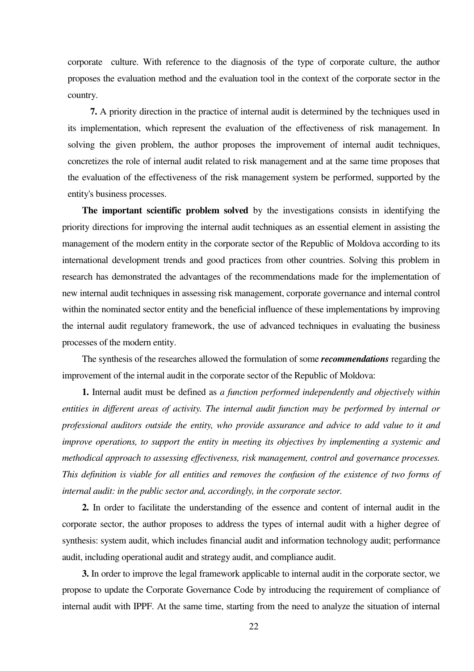corporate culture. With reference to the diagnosis of the type of corporate culture, the author proposes the evaluation method and the evaluation tool in the context of the corporate sector in the country.

**7.** A priority direction in the practice of internal audit is determined by the techniques used in its implementation, which represent the evaluation of the effectiveness of risk management. In solving the given problem, the author proposes the improvement of internal audit techniques, concretizes the role of internal audit related to risk management and at the same time proposes that the evaluation of the effectiveness of the risk management system be performed, supported by the entity's business processes.

**The important scientific problem solved** by the investigations consists in identifying the priority directions for improving the internal audit techniques as an essential element in assisting the management of the modern entity in the corporate sector of the Republic of Moldova according to its international development trends and good practices from other countries. Solving this problem in research has demonstrated the advantages of the recommendations made for the implementation of new internal audit techniques in assessing risk management, corporate governance and internal control within the nominated sector entity and the beneficial influence of these implementations by improving the internal audit regulatory framework, the use of advanced techniques in evaluating the business processes of the modern entity.

The synthesis of the researches allowed the formulation of some *recommendations* regarding the improvement of the internal audit in the corporate sector of the Republic of Moldova:

**1.** Internal audit must be defined as *a function performed independently and objectively within entities in different areas of activity. The internal audit function may be performed by internal or professional auditors outside the entity, who provide assurance and advice to add value to it and improve operations, to support the entity in meeting its objectives by implementing a systemic and methodical approach to assessing effectiveness, risk management, control and governance processes. This definition is viable for all entities and removes the confusion of the existence of two forms of internal audit: in the public sector and, accordingly, in the corporate sector.* 

**2.** In order to facilitate the understanding of the essence and content of internal audit in the corporate sector, the author proposes to address the types of internal audit with a higher degree of synthesis: system audit, which includes financial audit and information technology audit; performance audit, including operational audit and strategy audit, and compliance audit.

**3.** In order to improve the legal framework applicable to internal audit in the corporate sector, we propose to update the Corporate Governance Code by introducing the requirement of compliance of internal audit with IPPF. At the same time, starting from the need to analyze the situation of internal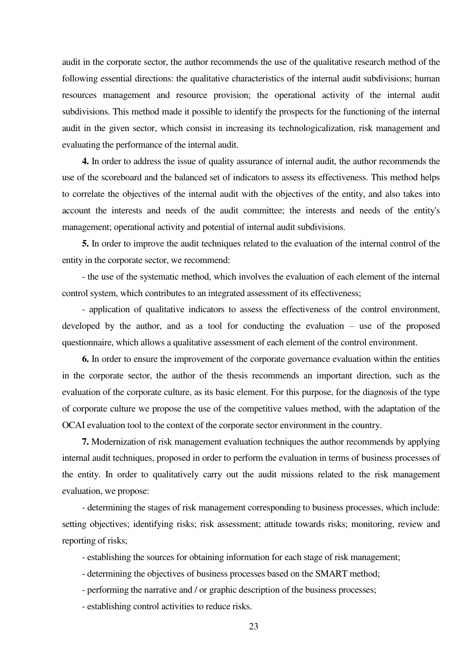audit in the corporate sector, the author recommends the use of the qualitative research method of the following essential directions: the qualitative characteristics of the internal audit subdivisions; human resources management and resource provision; the operational activity of the internal audit subdivisions. This method made it possible to identify the prospects for the functioning of the internal audit in the given sector, which consist in increasing its technologicalization, risk management and evaluating the performance of the internal audit.

**4.** In order to address the issue of quality assurance of internal audit, the author recommends the use of the scoreboard and the balanced set of indicators to assess its effectiveness. This method helps to correlate the objectives of the internal audit with the objectives of the entity, and also takes into account the interests and needs of the audit committee; the interests and needs of the entity's management; operational activity and potential of internal audit subdivisions.

**5.** In order to improve the audit techniques related to the evaluation of the internal control of the entity in the corporate sector, we recommend:

- the use of the systematic method, which involves the evaluation of each element of the internal control system, which contributes to an integrated assessment of its effectiveness;

- application of qualitative indicators to assess the effectiveness of the control environment, developed by the author, and as a tool for conducting the evaluation – use of the proposed questionnaire, which allows a qualitative assessment of each element of the control environment.

**6.** In order to ensure the improvement of the corporate governance evaluation within the entities in the corporate sector, the author of the thesis recommends an important direction, such as the evaluation of the corporate culture, as its basic element. For this purpose, for the diagnosis of the type of corporate culture we propose the use of the competitive values method, with the adaptation of the OCAI evaluation tool to the context of the corporate sector environment in the country.

**7.** Modernization of risk management evaluation techniques the author recommends by applying internal audit techniques, proposed in order to perform the evaluation in terms of business processes of the entity. In order to qualitatively carry out the audit missions related to the risk management evaluation, we propose:

- determining the stages of risk management corresponding to business processes, which include: setting objectives; identifying risks; risk assessment; attitude towards risks; monitoring, review and reporting of risks;

- establishing the sources for obtaining information for each stage of risk management;

- determining the objectives of business processes based on the SMART method;
- performing the narrative and / or graphic description of the business processes;
- establishing control activities to reduce risks.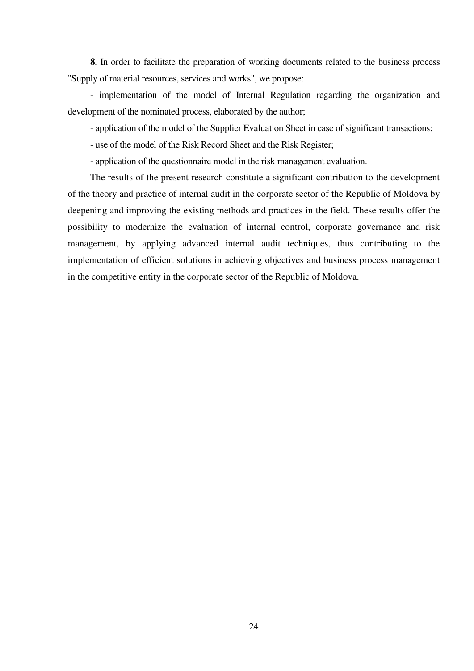**8.** In order to facilitate the preparation of working documents related to the business process "Supply of material resources, services and works", we propose:

- implementation of the model of Internal Regulation regarding the organization and development of the nominated process, elaborated by the author;

- application of the model of the Supplier Evaluation Sheet in case of significant transactions;

- use of the model of the Risk Record Sheet and the Risk Register;

- application of the questionnaire model in the risk management evaluation.

The results of the present research constitute a significant contribution to the development of the theory and practice of internal audit in the corporate sector of the Republic of Moldova by deepening and improving the existing methods and practices in the field. These results offer the possibility to modernize the evaluation of internal control, corporate governance and risk management, by applying advanced internal audit techniques, thus contributing to the implementation of efficient solutions in achieving objectives and business process management in the competitive entity in the corporate sector of the Republic of Moldova.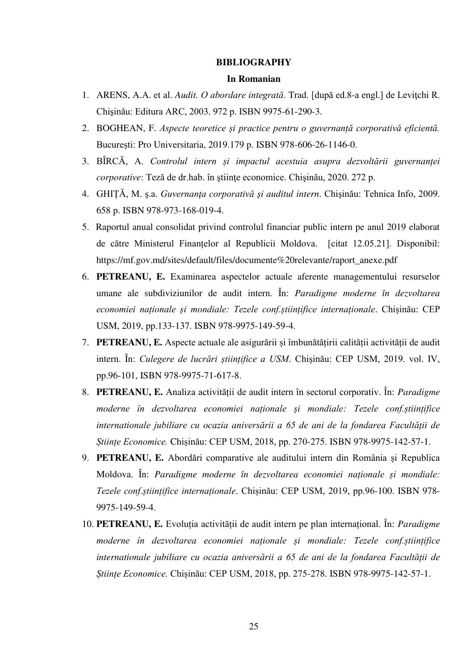#### **BIBLIOGRAPHY**

### **In Romanian**

- 1. ARENS, A.A. et al. *Audit. O abordare integrată*. Trad. [după ed.8-a engl.] de Leviţchi R. Chişinău: Editura ARC, 2003. 972 p. ISBN 9975-61-290-3.
- 2. BOGHEAN, F. *Aspecte teoretice și practice pentru o guvernanță corporativă eficientă.* București: Pro Universitaria, 2019.179 p. ISBN 978-606-26-1146-0.
- 3. BÎRCĂ, A. *Controlul intern și impactul acestuia asupra dezvoltării guvernanței corporative*: Teză de dr.hab. în ştiinţe economice. Chişinău, 2020. 272 p.
- 4. GHIȚĂ, M. ş.a. *Guvernanţa corporativă şi auditul intern*. Chişinău: Tehnica Info, 2009. 658 p. ISBN 978-973-168-019-4.
- 5. Raportul anual consolidat privind controlul financiar public intern pe anul 2019 elaborat de către Ministerul Finanțelor al Republicii Moldova. [citat 12.05.21]. Disponibil: [https://mf.gov.md/sites/default/files/documente%20relevante/raport\\_anexe.pdf](https://mf.gov.md/sites/default/files/documente%20relevante/raport_anexe.pdf)
- 6. **PETREANU, E.** Examinarea aspectelor actuale aferente managementului resurselor umane ale subdiviziunilor de audit intern. În: *Paradigme moderne în dezvoltarea economiei naționale și mondiale: Tezele conf.științifice internaționale*. Chișinău: CEP USM, 2019, pp.133-137. ISBN 978-9975-149-59-4.
- 7. **PETREANU, E.** Aspecte actuale ale asigurării și îmbunătățirii calității activității de audit intern. În: *Culegere de lucrări științifice a USM*. Chișinău: CEP USM, 2019. vol. IV, pp.96-101, ISBN 978-9975-71-617-8.
- 8. **PETREANU, E.** Analiza activității de audit intern în sectorul corporativ. În: *Paradigme moderne în dezvoltarea economiei naționale și mondiale: Tezele conf.științifice internationale jubiliare cu ocazia aniversării a 65 de ani de la fondarea Facultății de Științe Economice.* Chișinău: CEP USM, 2018, pp. 270-275. ISBN 978-9975-142-57-1.
- 9. **PETREANU, E.** Abordări comparative ale auditului intern din România și Republica Moldova. În: *Paradigme moderne în dezvoltarea economiei naționale și mondiale: Tezele conf.științifice internaționale*. Chișinău: CEP USM, 2019, pp.96-100. ISBN 978- 9975-149-59-4.
- 10. **PETREANU, E.** Evoluția activității de audit intern pe plan internațional. În: *Paradigme moderne în dezvoltarea economiei naționale și mondiale: Tezele conf.științifice internationale jubiliare cu ocazia aniversării a 65 de ani de la fondarea Facultății de Științe Economice.* Chișinău: CEP USM, 2018, pp. 275-278. ISBN 978-9975-142-57-1.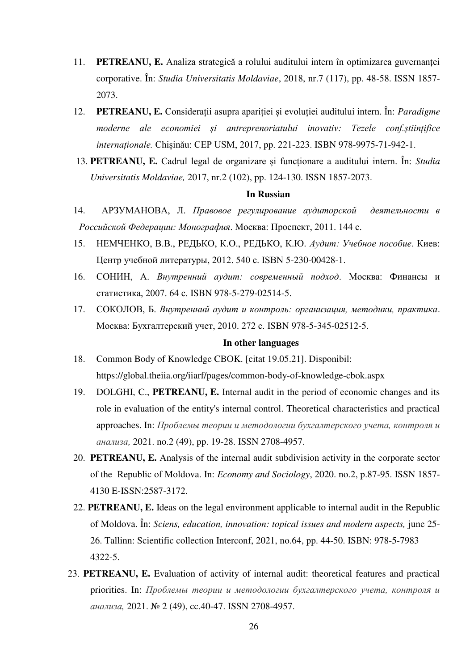- 11. **PETREANU, E.** Analiza strategică a rolului auditului intern în optimizarea guvernanței corporative. În: *Studia Universitatis Moldaviae*, 2018, nr.7 (117), pp. 48-58. ISSN 1857- 2073.
- 12. **PETREANU, E.** Considerații asupra apariției și evoluției auditului intern. În: *Paradigme moderne ale economiei și antreprenoriatului inovativ: Tezele conf.științifice internaționale.* Chișinău: CEP USM, 2017, pp. 221-223. ISBN 978-9975-71-942-1.
- 13. **PETREANU, E.** Cadrul legal de organizare și funcționare a auditului intern. În: *Studia Universitatis Moldaviae,* 2017, nr.2 (102), pp. 124-130. ISSN 1857-2073.

#### **In Russian**

- 14. АРЗУМАНОВА, Л. *Правовое регулирование аудиторской деятельности в Российской Федерации: Монография*. Москва: Проспект, 2011. 144 с.
- 15. НЕМЧЕНКО, В.В., РЕДЬКО, К.О., РЕДЬКО, К.Ю. *Аудит: Учебное пособие*. Киев: Центр учебной литературы, 2012. 540 с. ISBN 5-230-00428-1.
- 16. СОНИН, А. *Внутренний аудит: современный подход*. Москва: Финансы и статистика, 2007. 64 с. ISBN 978-5-279-02514-5.
- 17. СОКОЛОВ, Б. *Внутренний аудит и контроль: организация, методики, практика*. Москва: Бухгалтерский учет, 2010. 272 с. ISBN 978-5-345-02512-5.

#### **In other languages**

- 18. Common Body of Knowledge CBOK. [citat 19.05.21]. Disponibil: <https://global.theiia.org/iiarf/pages/common-body-of-knowledge-cbok.aspx>
- 19. DOLGHI, C., **PETREANU, E.** Internal audit in the period of economic changes and its role in evaluation of the entity's internal control. Theoretical characteristics and practical approaches. In: *Проблемы теории и методологии бухгалтерского учета, контроля и анализа,* 2021. no.2 (49), pp. 19-28. ISSN 2708-4957.
- 20. **PETREANU, E.** Analysis of the internal audit subdivision activity in the corporate sector of the Republic of Moldova. In: *Economy and Sociology*, 2020. no.2, p.87-95. ISSN 1857- 4130 E-ISSN:2587-3172.
- 22. **PETREANU, E.** Ideas on the legal environment applicable to internal audit in the Republic of Moldova. În: *Sciens, education, innovation: topical issues and modern aspects,* june 25- 26. Tallinn: Scientific collection Interconf, 2021, no.64, pp. 44-50. ISBN: 978-5-7983 4322-5.
- 23. **PETREANU, E.** Evaluation of activity of internal audit: theoretical features and practical priorities. In: *Проблемы теории и методологии бухгалтерского учета, контроля и анализа,* 2021. № 2 (49), cc.40-47. ISSN 2708-4957.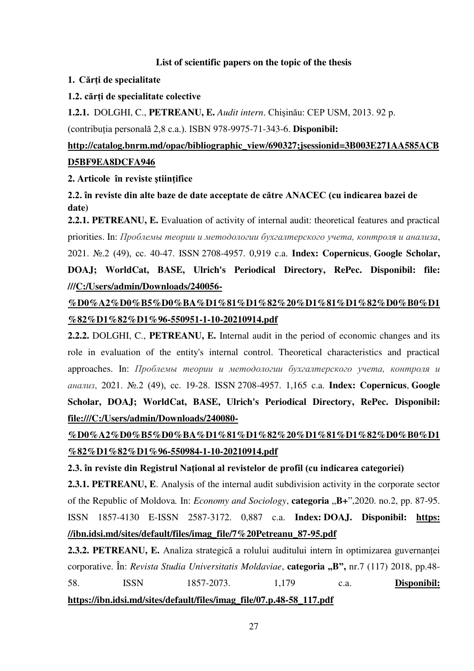### **List of scientific papers on the topic of the thesis**

### **1. Cărți de specialitate**

### **1.2. cărți de specialitate colective**

**1.2.1.** DOLGHI, C., **PETREANU, E.** *Audit intern*. Chişinău: CEP USM, 2013. 92 p.

(contribuția personală 2,8 c.a.). ISBN 978-9975-71-343-6. **Disponibil:** 

### **http://catalog.bnrm.md/opac/bibliographic\_view/690327;jsessionid=3B003E271AA585ACB D5BF9EA8DCFA946**

### **2. Articole în reviste ştiinţifice**

**2.2. în reviste din alte baze de date acceptate de către ANACEC (cu indicarea bazei de date)** 

**2.2.1. PETREANU, E.** Evaluation of activity of internal audit: theoretical features and practical priorities. In: *Проблемы теории и методологии бухгалтерского учета, контроля и анализа*, 2021. №.2 (49), сс. 40-47. ISSN 2708-4957. 0,919 c.a. **[Index: Copernicus](https://journals.indexcopernicus.com/search/details?id=41889)**, **[Google Scholar,](https://scholar.google.ru/citations?user=XAcJmTcAAAAJ&hl=uk&authuser=6)** 

## **DOAJ; WorldCat, BASE, Ulrich's Periodical Directory, RePec. Disponibil: file: ///C:/Users/admin/Downloads/240056-**

## **%D0%A2%D0%B5%D0%BA%D1%81%D1%82%20%D1%81%D1%82%D0%B0%D1 %82%D1%82%D1%96-550951-1-10-20210914.pdf**

**2.2.2.** DOLGHI, C., **PETREANU, E.** Internal audit in the period of economic changes and its role in evaluation of the entity's internal control. Theoretical characteristics and practical approaches. In: *Проблемы теории и методологии бухгалтерского учета, контроля и анализ*, 2021. №.2 (49), сс. 19-28. ISSN 2708-4957. 1,165 c.a. **[Index: Copernicus](https://journals.indexcopernicus.com/search/details?id=41889)**, **[Google](https://scholar.google.ru/citations?user=XAcJmTcAAAAJ&hl=uk&authuser=6)  [Scholar,](https://scholar.google.ru/citations?user=XAcJmTcAAAAJ&hl=uk&authuser=6) DOAJ; WorldCat, BASE, Ulrich's Periodical Directory, RePec. Disponibil: file:///C:/Users/admin/Downloads/240080-**

**%D0%A2%D0%B5%D0%BA%D1%81%D1%82%20%D1%81%D1%82%D0%B0%D1 %82%D1%82%D1%96-550984-1-10-20210914.pdf** 

**2.3. în reviste din Registrul Naţional al revistelor de profil (cu indicarea categoriei)**

**2.3.1. PETREANU, E**. Analysis of the internal audit subdivision activity in the corporate sector of the Republic of Moldova. In: *Economy and Sociology*, **categoria**  $\mathbf{B}$ +",2020. no.2, pp. 87-95. ISSN 1857-4130 E-ISSN 2587-3172. 0,887 c.a. **Index: DOAJ. Disponibil: [https:](https://ibn.idsi.md/sites/default/files/imag_file/7%20Petreanu_87-95.pdf)  [//ibn.idsi.md/sites/default/files/imag\\_file/7%20Petreanu\\_87-95.pdf](https://ibn.idsi.md/sites/default/files/imag_file/7%20Petreanu_87-95.pdf)** 

**2.3.2. PETREANU, E.** Analiza strategică a rolului auditului intern în optimizarea guvernanței corporative. În: *Revista Studia Universitatis Moldaviae*, **categoria "B",** nr.7 (117) 2018, pp.48- 58. ISSN 1857-2073. 1,179 c.a. **Disponibil: https://ibn.idsi.md/sites/default/files/imag\_file/07.p.48-58\_117.pdf**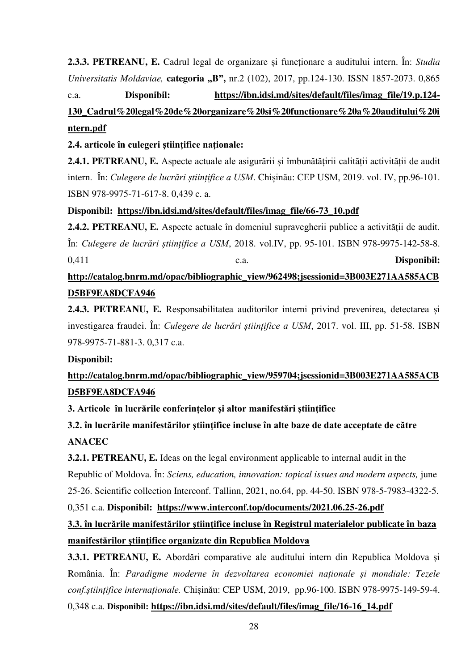**2.3.3. PETREANU, E.** Cadrul legal de organizare și funcționare a auditului intern. În: *Studia Universitatis Moldaviae,* **categoria "B",** nr.2 (102), 2017, pp.124-130. ISSN 1857-2073. 0,865

c.a. **Disponibil: https://ibn.idsi.md/sites/default/files/imag\_file/19.p.124-**

## **130\_Cadrul%20legal%20de%20organizare%20si%20functionare%20a%20auditului%20i ntern.pdf**

**2.4. articole în culegeri ştiinţifice naţionale:**

**2.4.1. PETREANU, E.** Aspecte actuale ale asigurării și îmbunătățirii calității activității de audit intern. În: *Culegere de lucrări științifice a USM*. Chișinău: CEP USM, 2019. vol. IV, pp.96-101. ISBN 978-9975-71-617-8. 0,439 c. a.

**Disponibil: https://ibn.idsi.md/sites/default/files/imag\_file/66-73\_10.pdf** 

**2.4.2. PETREANU, E.** Aspecte actuale în domeniul supravegherii publice a activității de audit*.* În: *Culegere de lucrări științifice a USM*, 2018. vol.IV, pp. 95-101. ISBN 978-9975-142-58-8. 0,411 c.a. **Disponibil:** 

## **http://catalog.bnrm.md/opac/bibliographic\_view/962498;jsessionid=3B003E271AA585ACB D5BF9EA8DCFA946**

**2.4.3. PETREANU, E.** Responsabilitatea auditorilor interni privind prevenirea, detectarea și investigarea fraudei. În: *Culegere de lucrări științifice a USM*, 2017. vol. III, pp. 51-58. ISBN 978-9975-71-881-3. 0,317 c.a.

### **Disponibil:**

## **http://catalog.bnrm.md/opac/bibliographic\_view/959704;jsessionid=3B003E271AA585ACB D5BF9EA8DCFA946**

**3. Articole în lucrările conferințelor și altor manifestări ştiinţifice**

**3.2. în lucrările manifestărilor ştiinţifice incluse în alte baze de date acceptate de către ANACEC** 

**3.2.1. PETREANU, E.** Ideas on the legal environment applicable to internal audit in the Republic of Moldova. În: *Sciens, education, innovation: topical issues and modern aspects,* june 25-26. Scientific collection Interconf. Tallinn, 2021, no.64, pp. 44-50. ISBN 978-5-7983-4322-5.

0,351 c.a. **Disponibil: https://www.interconf.top/documents/2021.06.25-26.pdf** 

## **3.3. în lucrările manifestărilor ştiinţifice incluse în Registrul materialelor publicate în baza manifestărilor ştiinţifice organizate din Republica Moldova**

**3.3.1. PETREANU, E.** Abordări comparative ale auditului intern din Republica Moldova și România. În: *Paradigme moderne în dezvoltarea economiei naționale și mondiale: Tezele conf.științifice internaționale.* Chișinău: CEP USM, 2019, pp.96-100. ISBN 978-9975-149-59-4. 0,348 c.a. **Disponibil: https://ibn.idsi.md/sites/default/files/imag\_file/16-16\_14.pdf**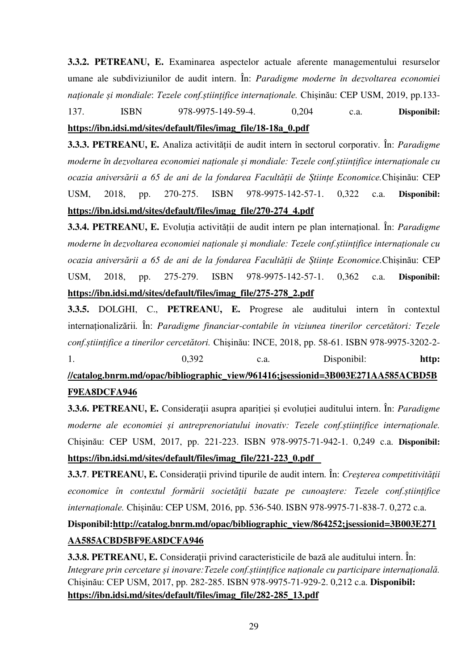**3.3.2. PETREANU, E.** Examinarea aspectelor actuale aferente managementului resurselor umane ale subdiviziunilor de audit intern. În: *Paradigme moderne în dezvoltarea economiei naționale și mondiale*: *Tezele conf.științifice internaționale.* Chișinău: CEP USM, 2019, pp.133- 137. ISBN 978-9975-149-59-4. 0,204 c.a. **Disponibil:** 

### **https://ibn.idsi.md/sites/default/files/imag\_file/18-18a\_0.pdf**

**3.3.3. PETREANU, E.** Analiza activității de audit intern în sectorul corporativ*.* În: *Paradigme moderne în dezvoltarea economiei naționale și mondiale: Tezele conf.științifice internaționale cu ocazia aniversării a 65 de ani de la fondarea Facultății de Științe Economice.*Chișinău: CEP USM, 2018, pp. 270-275. ISBN 978-9975-142-57-1. 0,322 c.a. **Disponibil: https://ibn.idsi.md/sites/default/files/imag\_file/270-274\_4.pdf** 

**3.3.4. PETREANU, E.** Evoluția activității de audit intern pe plan internațional*.* În: *Paradigme moderne în dezvoltarea economiei naționale și mondiale: Tezele conf.științifice internaționale cu ocazia aniversării a 65 de ani de la fondarea Facultății de Științe Economice.*Chișinău: CEP USM, 2018, pp. 275-279. ISBN 978-9975-142-57-1. 0,362 c.a. **Disponibil: https://ibn.idsi.md/sites/default/files/imag\_file/275-278\_2.pdf** 

**3.3.5.** DOLGHI, C., **PETREANU, E.** Progrese ale auditului intern în contextul internaționalizării*.* În: *Paradigme financiar-contabile în viziunea tinerilor cercetători: Tezele conf.științifice a tinerilor cercetători.* Chişinău: INCE, 2018, pp. 58-61. ISBN 978-9975-3202-2- 1. 0,392 c.a. Disponibil: **http:** 

**//catalog.bnrm.md/opac/bibliographic\_view/961416;jsessionid=3B003E271AA585ACBD5B F9EA8DCFA946** 

**3.3.6. PETREANU, E.** Consideraţii asupra apariției și evoluției auditului intern. În: *Paradigme moderne ale economiei și antreprenoriatului inovativ: Tezele conf.științifice internaționale.*  Chișinău: CEP USM, 2017, pp. 221-223. ISBN 978-9975-71-942-1. 0,249 c.a. **Disponibil: https://ibn.idsi.md/sites/default/files/imag\_file/221-223\_0.pdf**

**3.3.7**. **PETREANU, E.** Consideraţii privind tipurile de audit intern*.* În: *Creşterea competitivităţii economice în contextul formării societăţii bazate pe cunoaştere: Tezele conf.științifice internaționale.* Chișinău: CEP USM, 2016, pp. 536-540. ISBN 978-9975-71-838-7. 0,272 c.a.

### **Disponibil:http://catalog.bnrm.md/opac/bibliographic\_view/864252;jsessionid=3B003E271 AA585ACBD5BF9EA8DCFA946**

**3.3.8. PETREANU, E.** Consideratii privind caracteristicile de bază ale auditului intern. În: *Integrare prin cercetare și inovare:Tezele conf.științifice naționale cu participare internațională.* Chișinău: CEP USM, 2017, pp. 282-285. ISBN 978-9975-71-929-2. 0,212 c.a. **Disponibil: https://ibn.idsi.md/sites/default/files/imag\_file/282-285\_13.pdf**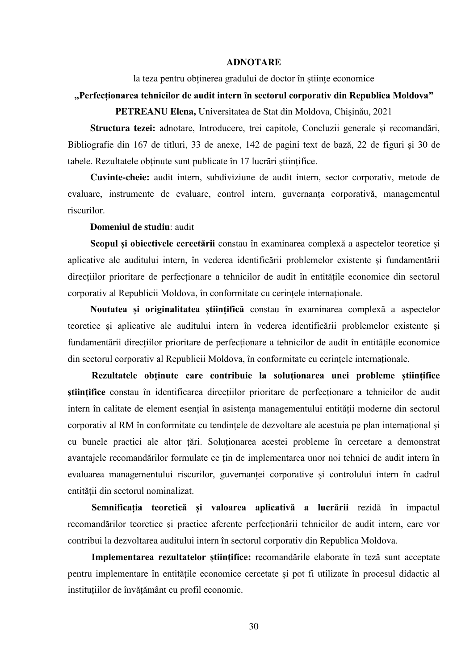#### **ADNOTARE**

la teza pentru obținerea gradului de doctor în științe economice

### **"Perfecționarea tehnicilor de audit intern în sectorul corporativ din Republica Moldova"**

**PETREANU Elena,** Universitatea de Stat din Moldova, Chișinău, 2021

**Structura tezei:** adnotare, Introducere, trei capitole, Concluzii generale și recomandări, Bibliografie din 167 de titluri, 33 de anexe, 142 de pagini text de bază, 22 de figuri și 30 de tabele. Rezultatele obținute sunt publicate în 17 lucrări științifice.

**Cuvinte-cheie:** audit intern, subdiviziune de audit intern, sector corporativ, metode de evaluare, instrumente de evaluare, control intern, guvernanța corporativă, managementul riscurilor.

**Domeniul de studiu**: audit

**Scopul și obiectivele cercetării** constau în examinarea complexă a aspectelor teoretice și aplicative ale auditului intern, în vederea identificării problemelor existente și fundamentării direcțiilor prioritare de perfecționare a tehnicilor de audit în entitățile economice din sectorul corporativ al Republicii Moldova, în conformitate cu cerințele internaționale.

**Noutatea și originalitatea științifică** constau în examinarea complexă a aspectelor teoretice și aplicative ale auditului intern în vederea identificării problemelor existente și fundamentării direcțiilor prioritare de perfecționare a tehnicilor de audit în entităţile economice din sectorul corporativ al Republicii Moldova, în conformitate cu cerințele internaționale.

**Rezultatele obținute care contribuie la soluţionarea unei probleme științifice științifice** constau în identificarea direcțiilor prioritare de perfecționare a tehnicilor de audit intern în calitate de element esențial în asistența managementului entității moderne din sectorul corporativ al RM în conformitate cu tendințele de dezvoltare ale acestuia pe plan internațional și cu bunele practici ale altor țări. Soluţionarea acestei probleme în cercetare a demonstrat avantajele recomandărilor formulate ce țin de implementarea unor noi tehnici de audit intern în evaluarea managementului riscurilor, guvernanței corporative și controlului intern în cadrul entității din sectorul nominalizat.

**Semnificația teoretică și valoarea aplicativă a lucrării** rezidă în impactul recomandărilor teoretice și practice aferente perfecționării tehnicilor de audit intern, care vor contribui la dezvoltarea auditului intern în sectorul corporativ din Republica Moldova.

**Implementarea rezultatelor științifice:** recomandările elaborate în teză sunt acceptate pentru implementare în entitățile economice cercetate și pot fi utilizate în procesul didactic al instituțiilor de învățământ cu profil economic.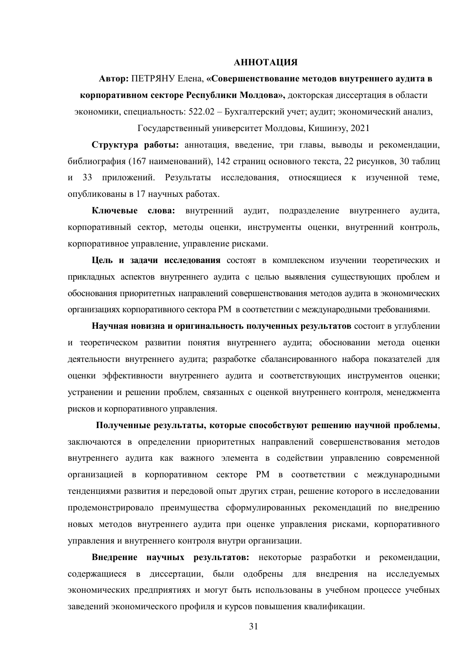#### **АННОТАЦИЯ**

**Автор:** ПЕТРЯНУ Елена, **«Совершенствование методов внутреннего аудита в корпоративном секторе Республики Молдова»,** докторская диссертация в области экономики, специальность: 522.02 – Бухгалтерский учет; аудит; экономический анализ,

Государственный университет Молдовы, Кишинэу, 2021

**Структура работы:** аннотация, введение, три главы, выводы и рекомендации, библиография (167 наименований), 142 страниц основного текста, 22 рисунков, 30 таблиц и 33 приложений. Результаты исследования, относящиеся к изученной теме, опубликованы в 17 научных работах.

**Ключевые слова:** внутренний аудит, подразделение внутреннего аудита, корпоративный сектор, методы оценки, инструменты оценки, внутренний контроль, корпоративное управление, управление рисками.

**Цель и задачи исследования** состоят в комплексном изучении теоретических и прикладных аспектов внутреннего аудита с целью выявления существующих проблем и обоснования приоритетных направлений совершенствования методов аудита в экономических организациях корпоративного сектора РМ в соответствии с международными требованиями.

**Научная новизна и оригинальность полученных результатов** состоит в углублении и теоретическом развитии понятия внутреннего аудита; обосновании метода оценки деятельности внутреннего аудита; разработке сбалансированного набора показателей для оценки эффективности внутреннего аудита и соответствующих инструментов оценки; устранении и решении проблем, связанных с оценкой внутреннего контроля, менеджмента рисков и корпоративного управления.

**Полученные результаты, которые способствуют решению научной проблемы**, заключаются в определении приоритетных направлений совершенствования методов внутреннего аудита как важного элемента в содействии управлению современной организацией в корпоративном секторе РМ в соответствии с международными тенденциями развития и передовой опыт других стран, решение которого в исследовании продемонстрировало преимущества сформулированных рекомендаций по внедрению новых методов внутреннего аудита при оценке управления рисками, корпоративного управления и внутреннего контроля внутри организации.

**Внедрение научных результатов:** некоторые разработки и рекомендации, содержащиеся в диссертации, были одобрены для внедрения на исследуемых экономических предприятиях и могут быть использованы в учебном процессе учебных заведений экономического профиля и курсов повышения квалификации.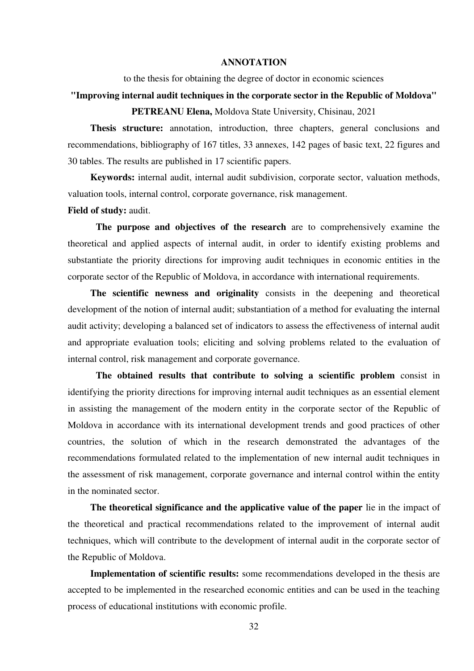#### **ANNOTATION**

to the thesis for obtaining the degree of doctor in economic sciences

### **"Improving internal audit techniques in the corporate sector in the Republic of Moldova" PETREANU Elena,** Moldova State University, Chisinau, 2021

**Thesis structure:** annotation, introduction, three chapters, general conclusions and recommendations, bibliography of 167 titles, 33 annexes, 142 pages of basic text, 22 figures and 30 tables. The results are published in 17 scientific papers.

 **Keywords:** internal audit, internal audit subdivision, corporate sector, valuation methods, valuation tools, internal control, corporate governance, risk management.

### **Field of study:** audit.

 **The purpose and objectives of the research** are to comprehensively examine the theoretical and applied aspects of internal audit, in order to identify existing problems and substantiate the priority directions for improving audit techniques in economic entities in the corporate sector of the Republic of Moldova, in accordance with international requirements.

 **The scientific newness and originality** consists in the deepening and theoretical development of the notion of internal audit; substantiation of a method for evaluating the internal audit activity; developing a balanced set of indicators to assess the effectiveness of internal audit and appropriate evaluation tools; eliciting and solving problems related to the evaluation of internal control, risk management and corporate governance.

 **The obtained results that contribute to solving a scientific problem** consist in identifying the priority directions for improving internal audit techniques as an essential element in assisting the management of the modern entity in the corporate sector of the Republic of Moldova in accordance with its international development trends and good practices of other countries, the solution of which in the research demonstrated the advantages of the recommendations formulated related to the implementation of new internal audit techniques in the assessment of risk management, corporate governance and internal control within the entity in the nominated sector.

**The theoretical significance and the applicative value of the paper** lie in the impact of the theoretical and practical recommendations related to the improvement of internal audit techniques, which will contribute to the development of internal audit in the corporate sector of the Republic of Moldova.

**Implementation of scientific results:** some recommendations developed in the thesis are accepted to be implemented in the researched economic entities and can be used in the teaching process of educational institutions with economic profile.